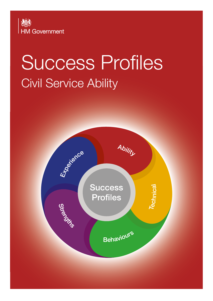

# Success Profiles Civil Service Ability

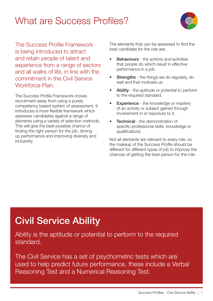## What are Success Profiles?



The Success Profile Framework is being introduced to attract and retain people of talent and experience from a range of sectors and all walks of life, in line with the commitment in the Civil Service Workforce Plan.

The Success Profile Framework moves recruitment away from using a purely competency based system of assessment. It introduces a more flexible framework which assesses candidates against a range of elements using a variety of selection methods. This will give the best possible chance of finding the right person for the job, driving up performance and improving diversity and inclusivity.

The elements that can be assessed to find the best candidate for the role are:

- **Behaviours** the actions and activities that people do which result in effective performance in a job.
- **Strengths** the things we do regularly, do well and that motivate us.
- Ability the aptitude or potential to perform to the required standard.
- **Experience** the knowledge or mastery of an activity or subject gained through involvement in or exposure to it.
- **Technical** the demonstration of specific professional skills, knowledge or qualifications.

Not all elements are relevant to every role, so the makeup of the Success Profile should be different for different types of job to improve the chances of getting the best person for the role.

# Civil Service Ability

Ability is the aptitude or potential to perform to the required standard.

The Civil Service has a set of psychometric tests which are used to help predict future performance, these include a Verbal Reasoning Test and a Numerical Reasoning Test.